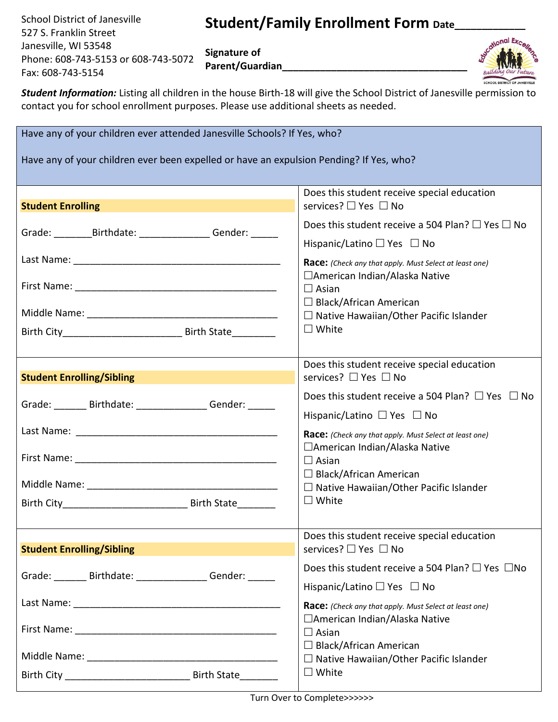School District of Janesville 527 S. Franklin Street Janesville, WI 53548 Phone: 608-743-5153 or 608-743-5072 Fax: 608-743-5154

## Student/Family Enrollment Form Date\_

**Signature of Parent/Guardian\_\_\_\_\_\_\_\_\_\_\_\_\_\_\_\_\_\_\_\_\_\_\_\_\_\_\_\_\_\_\_\_\_\_**



*Student Information:* Listing all children in the house Birth-18 will give the School District of Janesville permission to contact you for school enrollment purposes. Please use additional sheets as needed.

| Have any of your children ever attended Janesville Schools? If Yes, who?                |                                                                                                                                                  |  |  |  |  |  |  |  |
|-----------------------------------------------------------------------------------------|--------------------------------------------------------------------------------------------------------------------------------------------------|--|--|--|--|--|--|--|
| Have any of your children ever been expelled or have an expulsion Pending? If Yes, who? |                                                                                                                                                  |  |  |  |  |  |  |  |
|                                                                                         |                                                                                                                                                  |  |  |  |  |  |  |  |
|                                                                                         | Does this student receive special education                                                                                                      |  |  |  |  |  |  |  |
| <b>Student Enrolling</b>                                                                | services? $\Box$ Yes $\Box$ No                                                                                                                   |  |  |  |  |  |  |  |
| Grade: _____________Birthdate: ________________________Gender: ________                 | Does this student receive a 504 Plan? $\Box$ Yes $\Box$ No                                                                                       |  |  |  |  |  |  |  |
|                                                                                         | Hispanic/Latino $\Box$ Yes $\Box$ No                                                                                                             |  |  |  |  |  |  |  |
|                                                                                         | Race: (Check any that apply. Must Select at least one)                                                                                           |  |  |  |  |  |  |  |
|                                                                                         | □American Indian/Alaska Native<br>$\Box$ Asian<br>$\Box$ Black/African American<br>$\Box$ Native Hawaiian/Other Pacific Islander<br>$\Box$ White |  |  |  |  |  |  |  |
|                                                                                         |                                                                                                                                                  |  |  |  |  |  |  |  |
|                                                                                         |                                                                                                                                                  |  |  |  |  |  |  |  |
|                                                                                         |                                                                                                                                                  |  |  |  |  |  |  |  |
|                                                                                         |                                                                                                                                                  |  |  |  |  |  |  |  |
| <b>Student Enrolling/Sibling</b>                                                        | Does this student receive special education<br>services? □ Yes □ No                                                                              |  |  |  |  |  |  |  |
|                                                                                         | Does this student receive a 504 Plan? $\Box$ Yes $\Box$ No<br>Hispanic/Latino $\Box$ Yes $\Box$ No                                               |  |  |  |  |  |  |  |
| Grade: ________ Birthdate: _________________ Gender: ______                             |                                                                                                                                                  |  |  |  |  |  |  |  |
|                                                                                         |                                                                                                                                                  |  |  |  |  |  |  |  |
|                                                                                         | Race: (Check any that apply. Must Select at least one)<br>□American Indian/Alaska Native                                                         |  |  |  |  |  |  |  |
|                                                                                         | $\Box$ Asian                                                                                                                                     |  |  |  |  |  |  |  |
|                                                                                         | $\Box$ Black/African American<br>$\Box$ Native Hawaiian/Other Pacific Islander<br>$\Box$ White                                                   |  |  |  |  |  |  |  |
|                                                                                         |                                                                                                                                                  |  |  |  |  |  |  |  |
|                                                                                         |                                                                                                                                                  |  |  |  |  |  |  |  |
|                                                                                         | Does this student receive special education                                                                                                      |  |  |  |  |  |  |  |
| <b>Student Enrolling/Sibling</b>                                                        | services? □ Yes □ No                                                                                                                             |  |  |  |  |  |  |  |
|                                                                                         | Does this student receive a 504 Plan? $\Box$ Yes $\Box$ No                                                                                       |  |  |  |  |  |  |  |
| Grade: ________ Birthdate: _________________ Gender: ______                             | Hispanic/Latino □ Yes □ No                                                                                                                       |  |  |  |  |  |  |  |
|                                                                                         | Race: (Check any that apply. Must Select at least one)                                                                                           |  |  |  |  |  |  |  |
|                                                                                         | □ American Indian/Alaska Native                                                                                                                  |  |  |  |  |  |  |  |
|                                                                                         | $\Box$ Asian<br>$\Box$ Black/African American<br>$\Box$ Native Hawaiian/Other Pacific Islander<br>$\Box$ White                                   |  |  |  |  |  |  |  |
|                                                                                         |                                                                                                                                                  |  |  |  |  |  |  |  |
|                                                                                         |                                                                                                                                                  |  |  |  |  |  |  |  |
|                                                                                         |                                                                                                                                                  |  |  |  |  |  |  |  |

Turn Over to Complete>>>>>>